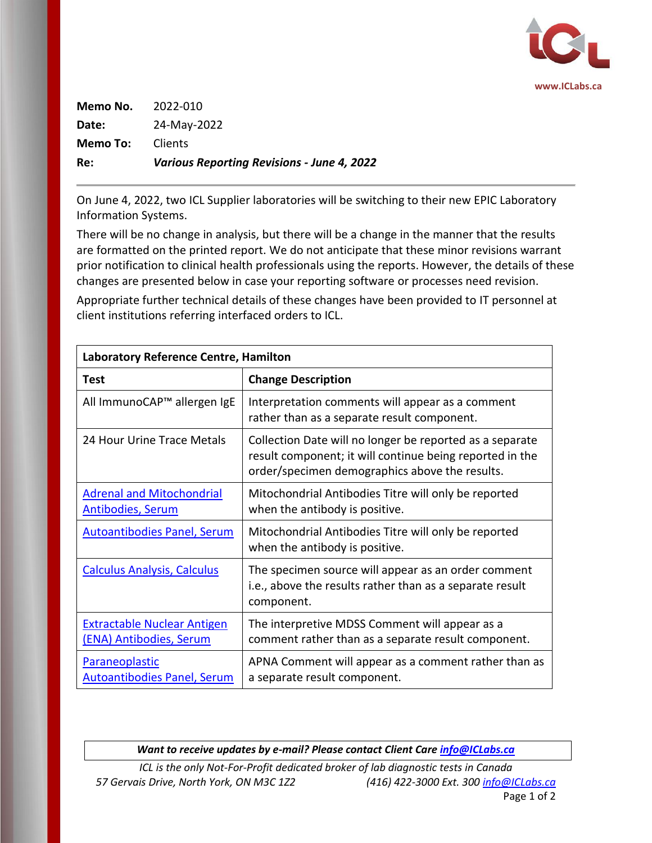

| Re:      | <b>Various Reporting Revisions - June 4, 2022</b> |  |
|----------|---------------------------------------------------|--|
| Memo To: | <b>Clients</b>                                    |  |
| Date:    | 24-May-2022                                       |  |
| Memo No. | 2022-010                                          |  |

On June 4, 2022, two ICL Supplier laboratories will be switching to their new EPIC Laboratory Information Systems.

There will be no change in analysis, but there will be a change in the manner that the results are formatted on the printed report. We do not anticipate that these minor revisions warrant prior notification to clinical health professionals using the reports. However, the details of these changes are presented below in case your reporting software or processes need revision.

Appropriate further technical details of these changes have been provided to IT personnel at client institutions referring interfaced orders to ICL.

| <b>Laboratory Reference Centre, Hamilton</b>                  |                                                                                                                                                                        |  |
|---------------------------------------------------------------|------------------------------------------------------------------------------------------------------------------------------------------------------------------------|--|
| <b>Test</b>                                                   | <b>Change Description</b>                                                                                                                                              |  |
| All ImmunoCAP™ allergen IgE                                   | Interpretation comments will appear as a comment<br>rather than as a separate result component.                                                                        |  |
| 24 Hour Urine Trace Metals                                    | Collection Date will no longer be reported as a separate<br>result component; it will continue being reported in the<br>order/specimen demographics above the results. |  |
| <b>Adrenal and Mitochondrial</b><br><b>Antibodies, Serum</b>  | Mitochondrial Antibodies Titre will only be reported<br>when the antibody is positive.                                                                                 |  |
| <b>Autoantibodies Panel, Serum</b>                            | Mitochondrial Antibodies Titre will only be reported<br>when the antibody is positive.                                                                                 |  |
| <b>Calculus Analysis, Calculus</b>                            | The specimen source will appear as an order comment<br>i.e., above the results rather than as a separate result<br>component.                                          |  |
| <b>Extractable Nuclear Antigen</b><br>(ENA) Antibodies, Serum | The interpretive MDSS Comment will appear as a<br>comment rather than as a separate result component.                                                                  |  |
| <b>Paraneoplastic</b><br><b>Autoantibodies Panel, Serum</b>   | APNA Comment will appear as a comment rather than as<br>a separate result component.                                                                                   |  |

*Want to receive updates by e-mail? Please contact Client Care [info@ICLabs.ca](mailto:info@ICLabs.ca)*